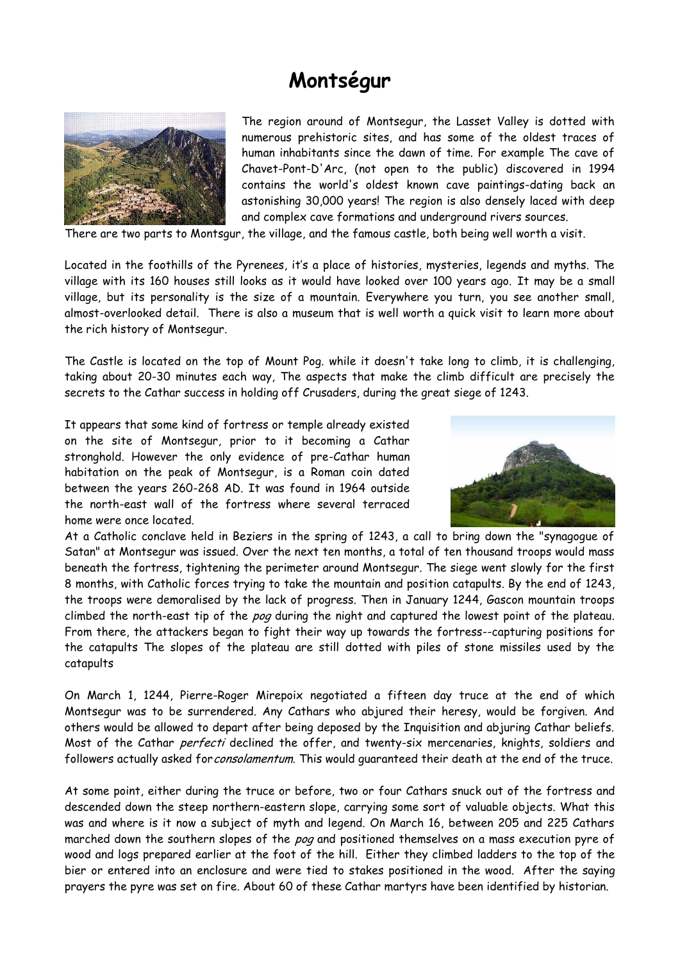## **Montségur**



The region around of Montsegur, the Lasset Valley is dotted with numerous prehistoric sites, and has some of the oldest traces of human inhabitants since the dawn of time. For example The cave of Chavet-Pont-D'Arc, (not open to the public) discovered in 1994 contains the world's oldest known cave paintings-dating back an astonishing 30,000 years! The region is also densely laced with deep and complex cave formations and underground rivers sources.

There are two parts to Montsgur, the village, and the famous castle, both being well worth a visit.

Located in the foothills of the Pyrenees, it's a place of histories, mysteries, legends and myths. The village with its 160 houses still looks as it would have looked over 100 years ago. It may be a small village, but its personality is the size of a mountain. Everywhere you turn, you see another small, almost-overlooked detail. There is also a museum that is well worth a quick visit to learn more about the rich history of Montsegur.

The Castle is located on the top of Mount Pog. while it doesn't take long to climb, it is challenging, taking about 20-30 minutes each way, The aspects that make the climb difficult are precisely the secrets to the Cathar success in holding off Crusaders, during the great siege of 1243.

It appears that some kind of fortress or temple already existed on the site of Montsegur, prior to it becoming a Cathar stronghold. However the only evidence of pre-Cathar human habitation on the peak of Montsegur, is a Roman coin dated between the years 260-268 AD. It was found in 1964 outside the north-east wall of the fortress where several terraced home were once located.



At a Catholic conclave held in Beziers in the spring of 1243, a call to bring down the "synagogue of Satan" at Montsegur was issued. Over the next ten months, a total of ten thousand troops would mass beneath the fortress, tightening the perimeter around Montsegur. The siege went slowly for the first 8 months, with Catholic forces trying to take the mountain and position catapults. By the end of 1243, the troops were demoralised by the lack of progress. Then in January 1244, Gascon mountain troops climbed the north-east tip of the pog during the night and captured the lowest point of the plateau. From there, the attackers began to fight their way up towards the fortress--capturing positions for the catapults The slopes of the plateau are still dotted with piles of stone missiles used by the catapults

On March 1, 1244, Pierre-Roger Mirepoix negotiated a fifteen day truce at the end of which Montsegur was to be surrendered. Any Cathars who abjured their heresy, would be forgiven. And others would be allowed to depart after being deposed by the Inquisition and abjuring Cathar beliefs. Most of the Cathar perfecti declined the offer, and twenty-six mercenaries, knights, soldiers and followers actually asked for consolamentum. This would quaranteed their death at the end of the truce.

At some point, either during the truce or before, two or four Cathars snuck out of the fortress and descended down the steep northern-eastern slope, carrying some sort of valuable objects. What this was and where is it now a subject of myth and legend. On March 16, between 205 and 225 Cathars marched down the southern slopes of the pog and positioned themselves on a mass execution pyre of wood and logs prepared earlier at the foot of the hill. Either they climbed ladders to the top of the bier or entered into an enclosure and were tied to stakes positioned in the wood. After the saying prayers the pyre was set on fire. About 60 of these Cathar martyrs have been identified by historian.